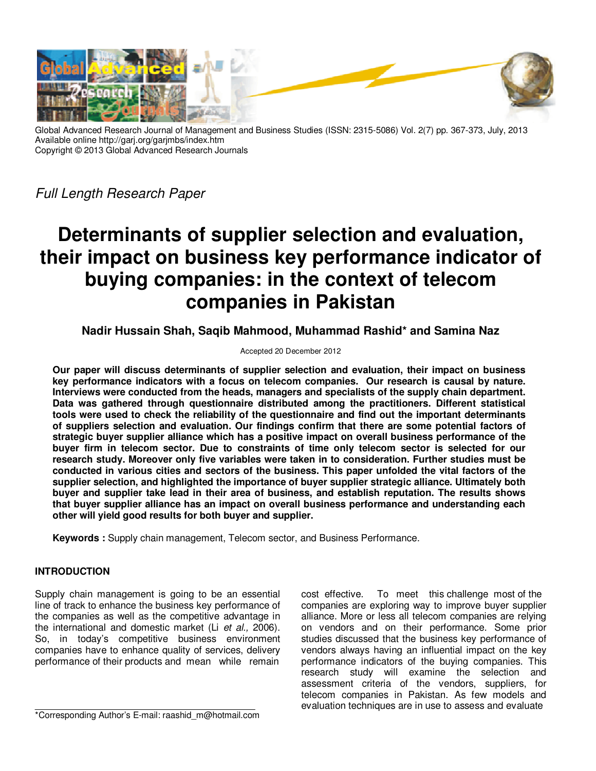

Global Advanced Research Journal of Management and Business Studies (ISSN: 2315-5086) Vol. 2(7) pp. 367-373, July, 2013 Available online http://garj.org/garjmbs/index.htm Copyright © 2013 Global Advanced Research Journals

Full Length Research Paper

# **Determinants of supplier selection and evaluation, their impact on business key performance indicator of buying companies: in the context of telecom companies in Pakistan**

**Nadir Hussain Shah, Saqib Mahmood, Muhammad Rashid\* and Samina Naz** 

## Accepted 20 December 2012

**Our paper will discuss determinants of supplier selection and evaluation, their impact on business key performance indicators with a focus on telecom companies. Our research is causal by nature. Interviews were conducted from the heads, managers and specialists of the supply chain department. Data was gathered through questionnaire distributed among the practitioners. Different statistical tools were used to check the reliability of the questionnaire and find out the important determinants of suppliers selection and evaluation. Our findings confirm that there are some potential factors of strategic buyer supplier alliance which has a positive impact on overall business performance of the buyer firm in telecom sector. Due to constraints of time only telecom sector is selected for our research study. Moreover only five variables were taken in to consideration. Further studies must be conducted in various cities and sectors of the business. This paper unfolded the vital factors of the supplier selection, and highlighted the importance of buyer supplier strategic alliance. Ultimately both buyer and supplier take lead in their area of business, and establish reputation. The results shows that buyer supplier alliance has an impact on overall business performance and understanding each other will yield good results for both buyer and supplier.** 

**Keywords :** Supply chain management, Telecom sector, and Business Performance.

# **INTRODUCTION**

Supply chain management is going to be an essential line of track to enhance the business key performance of the companies as well as the competitive advantage in the international and domestic market (Li et al., 2006). So, in today's competitive business environment companies have to enhance quality of services, delivery performance of their products and mean while remain

cost effective. To meet this challenge most of the companies are exploring way to improve buyer supplier alliance. More or less all telecom companies are relying on vendors and on their performance. Some prior studies discussed that the business key performance of vendors always having an influential impact on the key performance indicators of the buying companies. This research study will examine the selection and assessment criteria of the vendors, suppliers, for telecom companies in Pakistan. As few models and evaluation techniques are in use to assess and evaluate

\*Corresponding Author's E-mail: raashid\_m@hotmail.com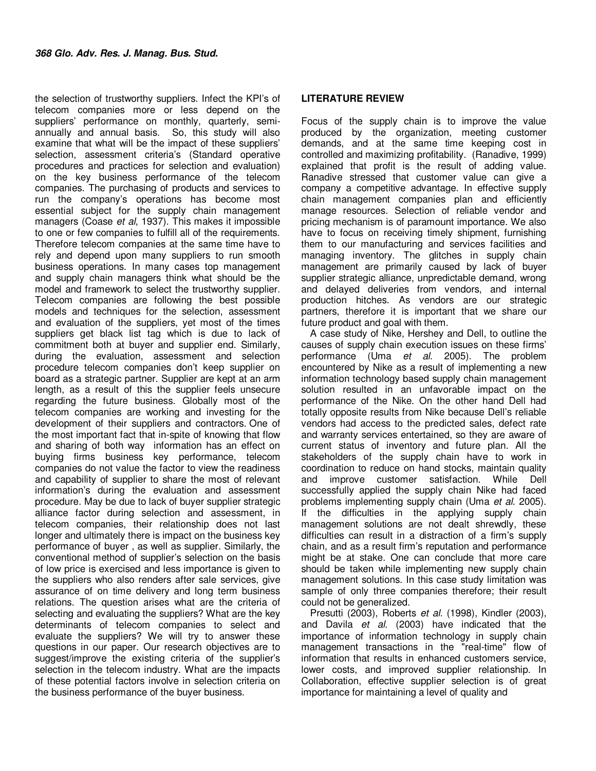the selection of trustworthy suppliers. Infect the KPI's of telecom companies more or less depend on the suppliers' performance on monthly, quarterly, semiannually and annual basis. So, this study will also examine that what will be the impact of these suppliers' selection, assessment criteria's (Standard operative procedures and practices for selection and evaluation) on the key business performance of the telecom companies. The purchasing of products and services to run the company's operations has become most essential subject for the supply chain management managers (Coase et al, 1937). This makes it impossible to one or few companies to fulfill all of the requirements. Therefore telecom companies at the same time have to rely and depend upon many suppliers to run smooth business operations. In many cases top management and supply chain managers think what should be the model and framework to select the trustworthy supplier. Telecom companies are following the best possible models and techniques for the selection, assessment and evaluation of the suppliers, yet most of the times suppliers get black list tag which is due to lack of commitment both at buyer and supplier end. Similarly, during the evaluation, assessment and selection procedure telecom companies don't keep supplier on board as a strategic partner. Supplier are kept at an arm length, as a result of this the supplier feels unsecure regarding the future business. Globally most of the telecom companies are working and investing for the development of their suppliers and contractors. One of the most important fact that in-spite of knowing that flow and sharing of both way information has an effect on buying firms business key performance, telecom companies do not value the factor to view the readiness and capability of supplier to share the most of relevant information's during the evaluation and assessment procedure. May be due to lack of buyer supplier strategic alliance factor during selection and assessment, in telecom companies, their relationship does not last longer and ultimately there is impact on the business key performance of buyer , as well as supplier. Similarly, the conventional method of supplier's selection on the basis of low price is exercised and less importance is given to the suppliers who also renders after sale services, give assurance of on time delivery and long term business relations. The question arises what are the criteria of selecting and evaluating the suppliers? What are the key determinants of telecom companies to select and evaluate the suppliers? We will try to answer these questions in our paper. Our research objectives are to suggest/improve the existing criteria of the supplier's selection in the telecom industry. What are the impacts of these potential factors involve in selection criteria on the business performance of the buyer business.

# **LITERATURE REVIEW**

Focus of the supply chain is to improve the value produced by the organization, meeting customer demands, and at the same time keeping cost in controlled and maximizing profitability. (Ranadive, 1999) explained that profit is the result of adding value. Ranadive stressed that customer value can give a company a competitive advantage. In effective supply chain management companies plan and efficiently manage resources. Selection of reliable vendor and pricing mechanism is of paramount importance. We also have to focus on receiving timely shipment, furnishing them to our manufacturing and services facilities and managing inventory. The glitches in supply chain management are primarily caused by lack of buyer supplier strategic alliance, unpredictable demand, wrong and delayed deliveries from vendors, and internal production hitches. As vendors are our strategic partners, therefore it is important that we share our future product and goal with them.

A case study of Nike, Hershey and Dell, to outline the causes of supply chain execution issues on these firms' performance (Uma et al. 2005). The problem encountered by Nike as a result of implementing a new information technology based supply chain management solution resulted in an unfavorable impact on the performance of the Nike. On the other hand Dell had totally opposite results from Nike because Dell's reliable vendors had access to the predicted sales, defect rate and warranty services entertained, so they are aware of current status of inventory and future plan. All the stakeholders of the supply chain have to work in coordination to reduce on hand stocks, maintain quality and improve customer satisfaction. While Dell successfully applied the supply chain Nike had faced problems implementing supply chain (Uma et al. 2005). If the difficulties in the applying supply chain management solutions are not dealt shrewdly, these difficulties can result in a distraction of a firm's supply chain, and as a result firm's reputation and performance might be at stake. One can conclude that more care should be taken while implementing new supply chain management solutions. In this case study limitation was sample of only three companies therefore; their result could not be generalized.

Presutti (2003), Roberts et al. (1998), Kindler (2003), and Davila et al. (2003) have indicated that the importance of information technology in supply chain management transactions in the "real-time" flow of information that results in enhanced customers service, lower costs, and improved supplier relationship. In Collaboration, effective supplier selection is of great importance for maintaining a level of quality and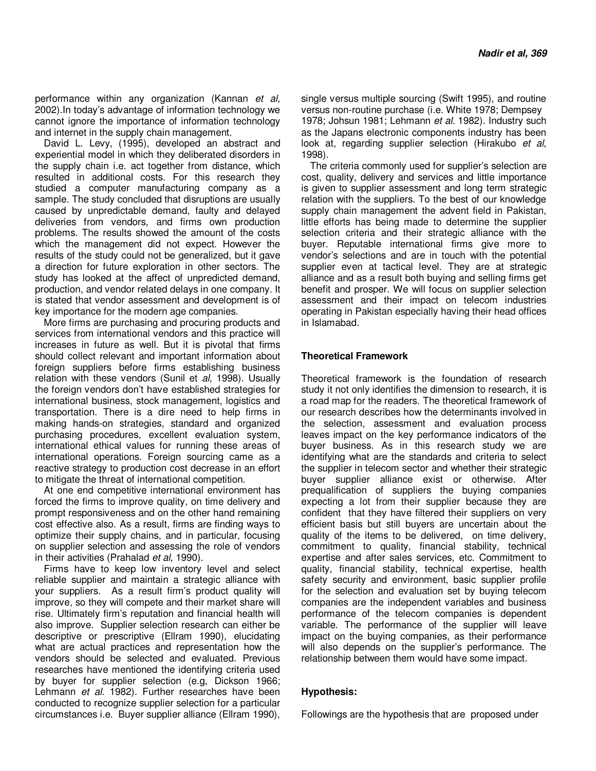performance within any organization (Kannan et al, 2002).In today's advantage of information technology we cannot ignore the importance of information technology and internet in the supply chain management.

David L. Levy, (1995), developed an abstract and experiential model in which they deliberated disorders in the supply chain i.e. act together from distance, which resulted in additional costs. For this research they studied a computer manufacturing company as a sample. The study concluded that disruptions are usually caused by unpredictable demand, faulty and delayed deliveries from vendors, and firms own production problems. The results showed the amount of the costs which the management did not expect. However the results of the study could not be generalized, but it gave a direction for future exploration in other sectors. The study has looked at the affect of unpredicted demand, production, and vendor related delays in one company. It is stated that vendor assessment and development is of key importance for the modern age companies.

More firms are purchasing and procuring products and services from international vendors and this practice will increases in future as well. But it is pivotal that firms should collect relevant and important information about foreign suppliers before firms establishing business relation with these vendors (Sunil et al, 1998). Usually the foreign vendors don't have established strategies for international business, stock management, logistics and transportation. There is a dire need to help firms in making hands-on strategies, standard and organized purchasing procedures, excellent evaluation system, international ethical values for running these areas of international operations. Foreign sourcing came as a reactive strategy to production cost decrease in an effort to mitigate the threat of international competition.

At one end competitive international environment has forced the firms to improve quality, on time delivery and prompt responsiveness and on the other hand remaining cost effective also. As a result, firms are finding ways to optimize their supply chains, and in particular, focusing on supplier selection and assessing the role of vendors in their activities (Prahalad et al, 1990).

Firms have to keep low inventory level and select reliable supplier and maintain a strategic alliance with your suppliers. As a result firm's product quality will improve, so they will compete and their market share will rise. Ultimately firm's reputation and financial health will also improve. Supplier selection research can either be descriptive or prescriptive (Ellram 1990), elucidating what are actual practices and representation how the vendors should be selected and evaluated. Previous researches have mentioned the identifying criteria used by buyer for supplier selection (e.g, Dickson 1966; Lehmann et al. 1982). Further researches have been conducted to recognize supplier selection for a particular circumstances i.e. Buyer supplier alliance (Ellram 1990), single versus multiple sourcing (Swift 1995), and routine versus non-routine purchase (i.e. White 1978; Dempsey 1978; Johsun 1981; Lehmann et al. 1982). Industry such as the Japans electronic components industry has been look at, regarding supplier selection (Hirakubo et al, 1998).

The criteria commonly used for supplier's selection are cost, quality, delivery and services and little importance is given to supplier assessment and long term strategic relation with the suppliers. To the best of our knowledge supply chain management the advent field in Pakistan, little efforts has being made to determine the supplier selection criteria and their strategic alliance with the buyer. Reputable international firms give more to vendor's selections and are in touch with the potential supplier even at tactical level. They are at strategic alliance and as a result both buying and selling firms get benefit and prosper. We will focus on supplier selection assessment and their impact on telecom industries operating in Pakistan especially having their head offices in Islamabad.

### **Theoretical Framework**

Theoretical framework is the foundation of research study it not only identifies the dimension to research, it is a road map for the readers. The theoretical framework of our research describes how the determinants involved in the selection, assessment and evaluation process leaves impact on the key performance indicators of the buyer business. As in this research study we are identifying what are the standards and criteria to select the supplier in telecom sector and whether their strategic buyer supplier alliance exist or otherwise. After prequalification of suppliers the buying companies expecting a lot from their supplier because they are confident that they have filtered their suppliers on very efficient basis but still buyers are uncertain about the quality of the items to be delivered, on time delivery, commitment to quality, financial stability, technical expertise and after sales services, etc. Commitment to quality, financial stability, technical expertise, health safety security and environment, basic supplier profile for the selection and evaluation set by buying telecom companies are the independent variables and business performance of the telecom companies is dependent variable. The performance of the supplier will leave impact on the buying companies, as their performance will also depends on the supplier's performance. The relationship between them would have some impact.

#### **Hypothesis:**

Followings are the hypothesis that are proposed under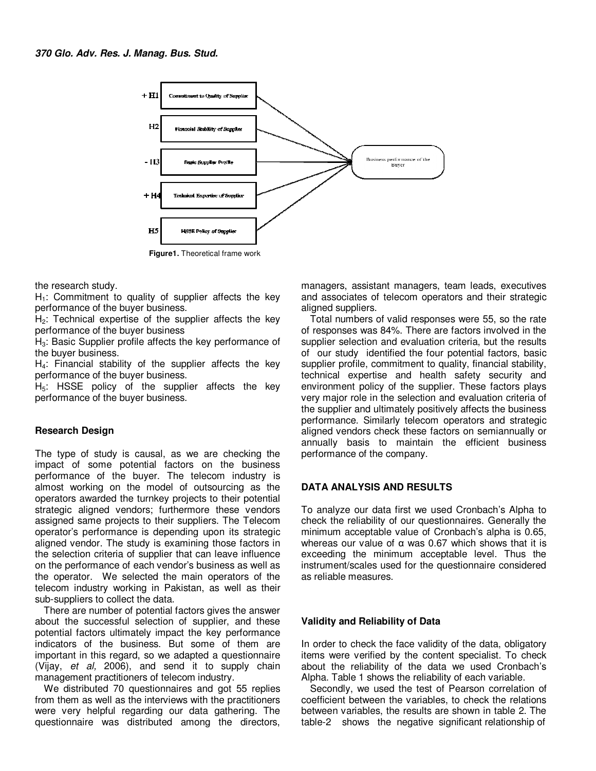

the research study.

 $H<sub>1</sub>$ : Commitment to quality of supplier affects the key performance of the buyer business.

 $H<sub>2</sub>$ : Technical expertise of the supplier affects the key performance of the buyer business

H<sub>3</sub>: Basic Supplier profile affects the key performance of the buyer business.

H4: Financial stability of the supplier affects the key performance of the buyer business.

 $H<sub>5</sub>$ : HSSE policy of the supplier affects the key performance of the buyer business.

#### **Research Design**

The type of study is causal, as we are checking the impact of some potential factors on the business performance of the buyer. The telecom industry is almost working on the model of outsourcing as the operators awarded the turnkey projects to their potential strategic aligned vendors; furthermore these vendors assigned same projects to their suppliers. The Telecom operator's performance is depending upon its strategic aligned vendor. The study is examining those factors in the selection criteria of supplier that can leave influence on the performance of each vendor's business as well as the operator. We selected the main operators of the telecom industry working in Pakistan, as well as their sub-suppliers to collect the data.

There are number of potential factors gives the answer about the successful selection of supplier, and these potential factors ultimately impact the key performance indicators of the business. But some of them are important in this regard, so we adapted a questionnaire (Vijay, et al, 2006), and send it to supply chain management practitioners of telecom industry.

We distributed 70 questionnaires and got 55 replies from them as well as the interviews with the practitioners were very helpful regarding our data gathering. The questionnaire was distributed among the directors, managers, assistant managers, team leads, executives and associates of telecom operators and their strategic aligned suppliers.

Total numbers of valid responses were 55, so the rate of responses was 84%. There are factors involved in the supplier selection and evaluation criteria, but the results of our study identified the four potential factors, basic supplier profile, commitment to quality, financial stability, technical expertise and health safety security and environment policy of the supplier. These factors plays very major role in the selection and evaluation criteria of the supplier and ultimately positively affects the business performance. Similarly telecom operators and strategic aligned vendors check these factors on semiannually or annually basis to maintain the efficient business performance of the company.

# **DATA ANALYSIS AND RESULTS**

To analyze our data first we used Cronbach's Alpha to check the reliability of our questionnaires. Generally the minimum acceptable value of Cronbach's alpha is 0.65, whereas our value of  $\alpha$  was 0.67 which shows that it is exceeding the minimum acceptable level. Thus the instrument/scales used for the questionnaire considered as reliable measures.

#### **Validity and Reliability of Data**

In order to check the face validity of the data, obligatory items were verified by the content specialist. To check about the reliability of the data we used Cronbach's Alpha. Table 1 shows the reliability of each variable.

Secondly, we used the test of Pearson correlation of coefficient between the variables, to check the relations between variables, the results are shown in table 2. The table-2 shows the negative significant relationship of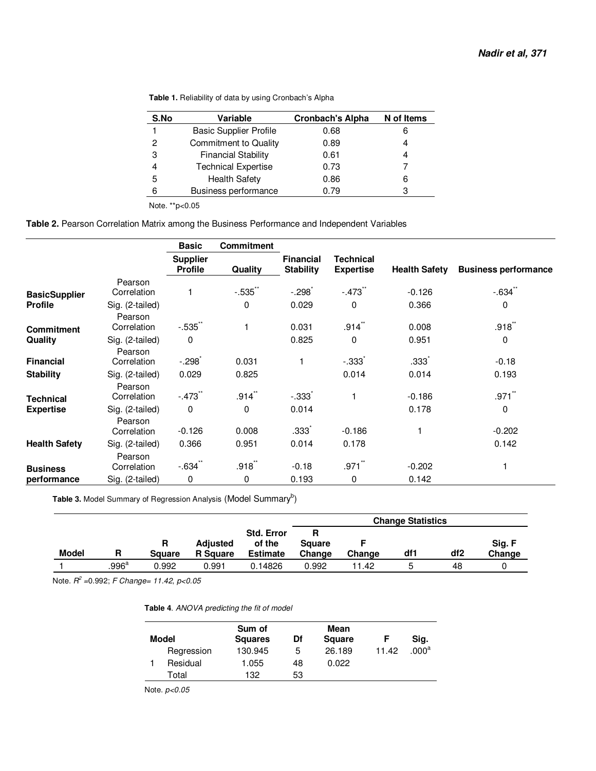| S.No | Variable                      | <b>Cronbach's Alpha</b> | N of Items |
|------|-------------------------------|-------------------------|------------|
|      | <b>Basic Supplier Profile</b> | 0.68                    | 6          |
| 2    | <b>Commitment to Quality</b>  | 0.89                    |            |
| 3    | <b>Financial Stability</b>    | 0.61                    | 4          |
|      | <b>Technical Expertise</b>    | 0.73                    |            |
| 5    | <b>Health Safety</b>          | 0.86                    | 6          |
| հ    | <b>Business performance</b>   | 0.79                    |            |
|      |                               |                         |            |

**Table 1.** Reliability of data by using Cronbach's Alpha

Note. \*\*p<0.05

### **Table 2.** Pearson Correlation Matrix among the Business Performance and Independent Variables

|                      |                            | <b>Basic</b>                      | <b>Commitment</b>    |                                      |                                      |                      |                             |
|----------------------|----------------------------|-----------------------------------|----------------------|--------------------------------------|--------------------------------------|----------------------|-----------------------------|
|                      |                            | <b>Supplier</b><br><b>Profile</b> | <b>Quality</b>       | <b>Financial</b><br><b>Stability</b> | <b>Technical</b><br><b>Expertise</b> | <b>Health Safety</b> | <b>Business performance</b> |
|                      | Pearson                    |                                   |                      |                                      |                                      |                      |                             |
| <b>BasicSupplier</b> | Correlation                |                                   | $-.535$ **           | $-.298$                              | $-.473$ **                           | $-0.126$             | $-0.634$                    |
| <b>Profile</b>       | Sig. (2-tailed)            |                                   | 0                    | 0.029                                | 0                                    | 0.366                | $\Omega$                    |
|                      | Pearson                    |                                   |                      |                                      |                                      |                      |                             |
| <b>Commitment</b>    | Correlation                | $-.535$ **                        |                      | 0.031                                | .914                                 | 0.008                | $.918$ **                   |
| Quality              | Sig. (2-tailed)<br>Pearson | 0                                 |                      | 0.825                                | 0                                    | 0.951                | $\mathbf 0$                 |
| <b>Financial</b>     | Correlation                | $-.298$                           | 0.031                |                                      | $-0.333$                             | .333 <sup>°</sup>    | $-0.18$                     |
| <b>Stability</b>     | Sig. (2-tailed)            | 0.029                             | 0.825                |                                      | 0.014                                | 0.014                | 0.193                       |
| Technical            | Pearson<br>Correlation     | $-473$                            | $.914$ <sup>**</sup> | $-.333$                              | 1                                    | $-0.186$             | $.971$ <sup>**</sup>        |
| <b>Expertise</b>     | Sig. (2-tailed)<br>Pearson | $\mathbf 0$                       | 0                    | 0.014                                |                                      | 0.178                | $\mathbf 0$                 |
|                      | Correlation                | $-0.126$                          | 0.008                | .333 <sup>°</sup>                    | $-0.186$                             |                      | $-0.202$                    |
| <b>Health Safety</b> | Sig. (2-tailed)            | 0.366                             | 0.951                | 0.014                                | 0.178                                |                      | 0.142                       |
| <b>Business</b>      | Pearson<br>Correlation     | -.634                             | $.918^{-}$           | $-0.18$                              | .971                                 | $-0.202$             |                             |
| performance          | Sig. (2-tailed)            | 0                                 | 0                    | 0.193                                | 0                                    | 0.142                |                             |

Table 3. Model Summary of Regression Analysis (Model Summary<sup>b</sup>)

|              |       |               |                 |                             | <b>Change Statistics</b> |        |     |                 |        |
|--------------|-------|---------------|-----------------|-----------------------------|--------------------------|--------|-----|-----------------|--------|
|              |       | R             | <b>Adjusted</b> | <b>Std. Error</b><br>of the | R<br><b>Square</b>       |        |     |                 | Sig. F |
| <b>Model</b> | R     | <b>Square</b> | <b>R</b> Square | <b>Estimate</b>             | Change                   | Change | df1 | df <sub>2</sub> | Change |
|              | .996a | 0.992         | 0.991           | 0.14826                     | 0.992                    | 11.42  | 5   | 48              |        |

Note.  $R^2$  =0.992; F Change= 11.42, p<0.05

**Table 4**. ANOVA predicting the fit of model

| Model |            | Sum of<br><b>Squares</b> | Df | Mean<br><b>Square</b> |       | Sig.              |
|-------|------------|--------------------------|----|-----------------------|-------|-------------------|
|       | Regression | 130.945                  | 5  | 26.189                | 11.42 | .000 <sup>a</sup> |
|       | Residual   | 1.055                    | 48 | 0.022                 |       |                   |
|       | Total      | 132                      | 53 |                       |       |                   |

Note.  $p<0.05$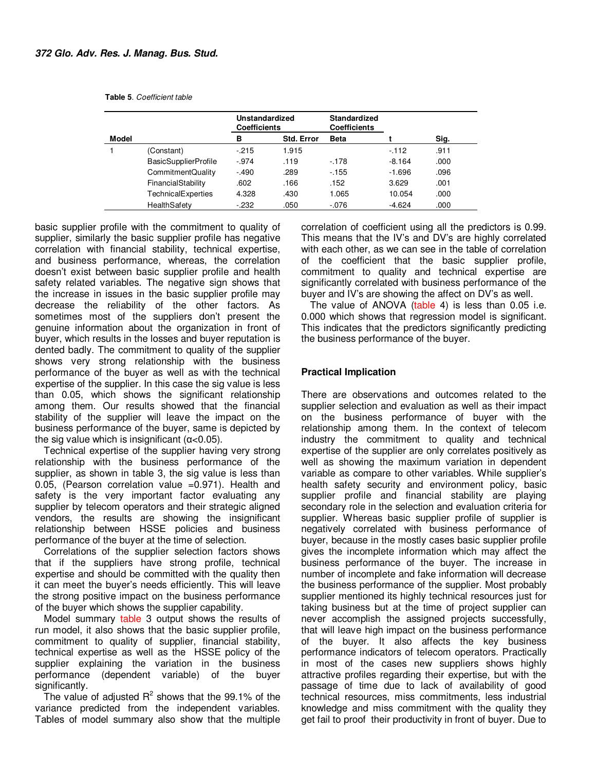|       |                             |         | Unstandardized<br><b>Coefficients</b> |             |          |       |
|-------|-----------------------------|---------|---------------------------------------|-------------|----------|-------|
| Model |                             | в       | <b>Std. Error</b>                     | <b>Beta</b> |          | Sig.  |
|       | (Constant)                  | $-215$  | 1.915                                 |             | $-112$   | .911  |
|       | <b>BasicSupplierProfile</b> | $-974$  | .119                                  | $-178$      | $-8.164$ | .000. |
|       | CommitmentQuality           | $-.490$ | .289                                  | $-155$      | $-1.696$ | .096  |
|       | FinancialStability          | .602    | .166                                  | .152        | 3.629    | .001  |
|       | TechnicalExperties          | 4.328   | .430                                  | 1.065       | 10.054   | .000  |
|       | HealthSafety                | $-232$  | .050                                  | $-0.076$    | $-4.624$ | .000  |

basic supplier profile with the commitment to quality of supplier, similarly the basic supplier profile has negative correlation with financial stability, technical expertise, and business performance, whereas, the correlation doesn't exist between basic supplier profile and health safety related variables. The negative sign shows that the increase in issues in the basic supplier profile may decrease the reliability of the other factors. As sometimes most of the suppliers don't present the genuine information about the organization in front of buyer, which results in the losses and buyer reputation is dented badly. The commitment to quality of the supplier shows very strong relationship with the business performance of the buyer as well as with the technical expertise of the supplier. In this case the sig value is less than 0.05, which shows the significant relationship among them. Our results showed that the financial stability of the supplier will leave the impact on the business performance of the buyer, same is depicted by the sig value which is insignificant  $(α<0.05)$ .

Technical expertise of the supplier having very strong relationship with the business performance of the supplier, as shown in table 3, the sig value is less than 0.05, (Pearson correlation value =0.971). Health and safety is the very important factor evaluating any supplier by telecom operators and their strategic aligned vendors, the results are showing the insignificant relationship between HSSE policies and business performance of the buyer at the time of selection.

Correlations of the supplier selection factors shows that if the suppliers have strong profile, technical expertise and should be committed with the quality then it can meet the buyer's needs efficiently. This will leave the strong positive impact on the business performance of the buyer which shows the supplier capability.

Model summary table 3 output shows the results of run model, it also shows that the basic supplier profile, commitment to quality of supplier, financial stability, technical expertise as well as the HSSE policy of the supplier explaining the variation in the business performance (dependent variable) of the buyer significantly.

The value of adjusted  $R^2$  shows that the 99.1% of the variance predicted from the independent variables. Tables of model summary also show that the multiple

correlation of coefficient using all the predictors is 0.99. This means that the IV's and DV's are highly correlated with each other, as we can see in the table of correlation of the coefficient that the basic supplier profile, commitment to quality and technical expertise are significantly correlated with business performance of the buyer and IV's are showing the affect on DV's as well.

The value of ANOVA (table 4) is less than 0.05 i.e. 0.000 which shows that regression model is significant. This indicates that the predictors significantly predicting the business performance of the buyer.

### **Practical Implication**

There are observations and outcomes related to the supplier selection and evaluation as well as their impact on the business performance of buyer with the relationship among them. In the context of telecom industry the commitment to quality and technical expertise of the supplier are only correlates positively as well as showing the maximum variation in dependent variable as compare to other variables. While supplier's health safety security and environment policy, basic supplier profile and financial stability are playing secondary role in the selection and evaluation criteria for supplier. Whereas basic supplier profile of supplier is negatively correlated with business performance of buyer, because in the mostly cases basic supplier profile gives the incomplete information which may affect the business performance of the buyer. The increase in number of incomplete and fake information will decrease the business performance of the supplier. Most probably supplier mentioned its highly technical resources just for taking business but at the time of project supplier can never accomplish the assigned projects successfully, that will leave high impact on the business performance of the buyer. It also affects the key business performance indicators of telecom operators. Practically in most of the cases new suppliers shows highly attractive profiles regarding their expertise, but with the passage of time due to lack of availability of good technical resources, miss commitments, less industrial knowledge and miss commitment with the quality they get fail to proof their productivity in front of buyer. Due to